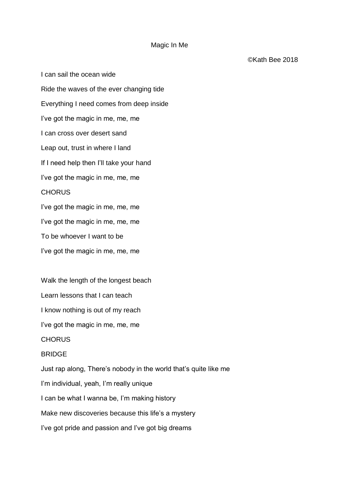## Magic In Me

I can sail the ocean wide Ride the waves of the ever changing tide Everything I need comes from deep inside I've got the magic in me, me, me I can cross over desert sand Leap out, trust in where I land If I need help then I'll take your hand I've got the magic in me, me, me **CHORUS** I've got the magic in me, me, me I've got the magic in me, me, me To be whoever I want to be I've got the magic in me, me, me

Walk the length of the longest beach

Learn lessons that I can teach

I know nothing is out of my reach

I've got the magic in me, me, me

**CHORUS** 

## BRIDGE

Just rap along, There's nobody in the world that's quite like me I'm individual, yeah, I'm really unique I can be what I wanna be, I'm making history Make new discoveries because this life's a mystery I've got pride and passion and I've got big dreams